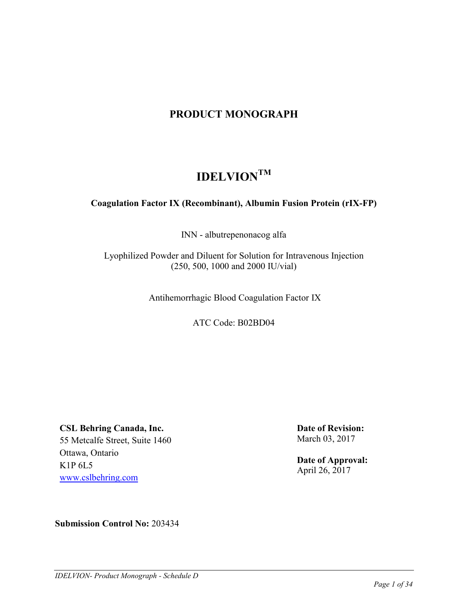# **PRODUCT MONOGRAPH**

# **IDELVIONTM**

# **Coagulation Factor IX (Recombinant), Albumin Fusion Protein (rIX-FP)**

INN - albutrepenonacog alfa

Lyophilized Powder and Diluent for Solution for Intravenous Injection (250, 500, 1000 and 2000 IU/vial)

Antihemorrhagic Blood Coagulation Factor IX

ATC Code: B02BD04

**CSL Behring Canada, Inc.**

55 Metcalfe Street, Suite 1460 Ottawa, Ontario K1P 6L5 [www.cslbehring.com](http://www.cslbehring.com/)

**Date of Revision:** March 03, 2017

**Date of Approval:** April 26, 2017

**Submission Control No:** 203434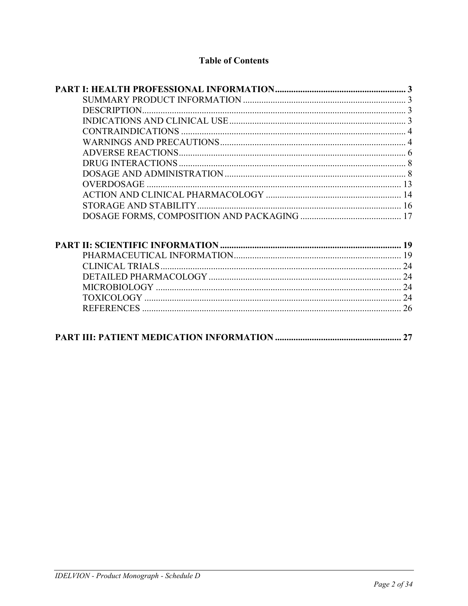# **Table of Contents**

| DESCRIPTION |    |
|-------------|----|
|             |    |
|             |    |
|             |    |
|             |    |
|             |    |
|             |    |
|             |    |
|             |    |
|             |    |
|             |    |
|             |    |
|             |    |
|             |    |
|             |    |
|             |    |
|             |    |
|             |    |
|             | 27 |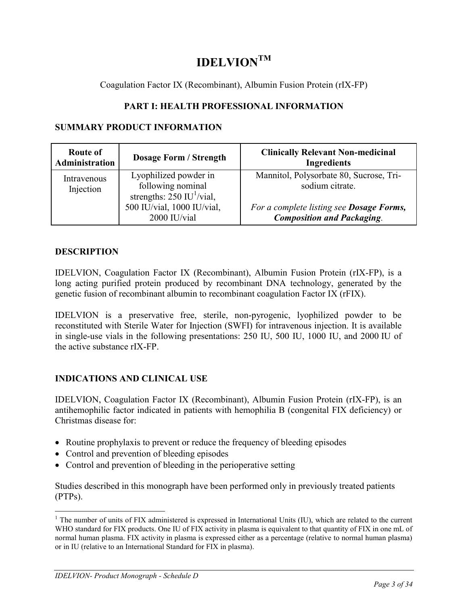# **IDELVIONTM**

Coagulation Factor IX (Recombinant), Albumin Fusion Protein (rIX-FP)

# **PART I: HEALTH PROFESSIONAL INFORMATION**

# **SUMMARY PRODUCT INFORMATION**

| Route of<br><b>Administration</b> | <b>Dosage Form / Strength</b>                                                         | <b>Clinically Relevant Non-medicinal</b><br><b>Ingredients</b>                        |
|-----------------------------------|---------------------------------------------------------------------------------------|---------------------------------------------------------------------------------------|
| Intravenous<br>Injection          | Lyophilized powder in<br>following nominal<br>strengths: $250$ IU <sup>1</sup> /vial, | Mannitol, Polysorbate 80, Sucrose, Tri-<br>sodium citrate.                            |
|                                   | 500 IU/vial, 1000 IU/vial,<br>2000 IU/vial                                            | For a complete listing see <b>Dosage Forms</b> ,<br><b>Composition and Packaging.</b> |

# **DESCRIPTION**

IDELVION, Coagulation Factor IX (Recombinant), Albumin Fusion Protein (rIX-FP), is a long acting purified protein produced by recombinant DNA technology, generated by the genetic fusion of recombinant albumin to recombinant coagulation Factor IX (rFIX).

IDELVION is a preservative free, sterile, non-pyrogenic, lyophilized powder to be reconstituted with Sterile Water for Injection (SWFI) for intravenous injection. It is available in single-use vials in the following presentations: 250 IU, 500 IU, 1000 IU, and 2000 IU of the active substance rIX-FP.

# **INDICATIONS AND CLINICAL USE**

IDELVION, Coagulation Factor IX (Recombinant), Albumin Fusion Protein (rIX-FP), is an antihemophilic factor indicated in patients with hemophilia B (congenital FIX deficiency) or Christmas disease for:

- Routine prophylaxis to prevent or reduce the frequency of bleeding episodes
- Control and prevention of bleeding episodes
- Control and prevention of bleeding in the perioperative setting

Studies described in this monograph have been performed only in previously treated patients (PTPs).

 $\overline{a}$ 

 $1$  The number of units of FIX administered is expressed in International Units (IU), which are related to the current WHO standard for FIX products. One IU of FIX activity in plasma is equivalent to that quantity of FIX in one mL of normal human plasma. FIX activity in plasma is expressed either as a percentage (relative to normal human plasma) or in IU (relative to an International Standard for FIX in plasma).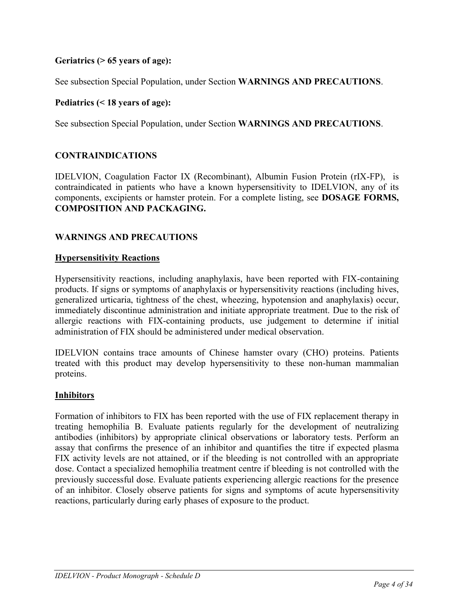# **Geriatrics (> 65 years of age):**

See subsection Special Population, under Section **WARNINGS AND PRECAUTIONS**.

### **Pediatrics (< 18 years of age):**

See subsection Special Population, under Section **WARNINGS AND PRECAUTIONS**.

### **CONTRAINDICATIONS**

IDELVION, Coagulation Factor IX (Recombinant), Albumin Fusion Protein (rIX-FP), is contraindicated in patients who have a known hypersensitivity to IDELVION, any of its components, excipients or hamster protein. For a complete listing, see **DOSAGE FORMS, COMPOSITION AND PACKAGING.** 

### **WARNINGS AND PRECAUTIONS**

#### **Hypersensitivity Reactions**

Hypersensitivity reactions, including anaphylaxis, have been reported with FIX-containing products. If signs or symptoms of anaphylaxis or hypersensitivity reactions (including hives, generalized urticaria, tightness of the chest, wheezing, hypotension and anaphylaxis) occur, immediately discontinue administration and initiate appropriate treatment. Due to the risk of allergic reactions with FIX-containing products, use judgement to determine if initial administration of FIX should be administered under medical observation.

IDELVION contains trace amounts of Chinese hamster ovary (CHO) proteins. Patients treated with this product may develop hypersensitivity to these non-human mammalian proteins.

#### **Inhibitors**

Formation of inhibitors to FIX has been reported with the use of FIX replacement therapy in treating hemophilia B. Evaluate patients regularly for the development of neutralizing antibodies (inhibitors) by appropriate clinical observations or laboratory tests. Perform an assay that confirms the presence of an inhibitor and quantifies the titre if expected plasma FIX activity levels are not attained, or if the bleeding is not controlled with an appropriate dose. Contact a specialized hemophilia treatment centre if bleeding is not controlled with the previously successful dose. Evaluate patients experiencing allergic reactions for the presence of an inhibitor. Closely observe patients for signs and symptoms of acute hypersensitivity reactions, particularly during early phases of exposure to the product.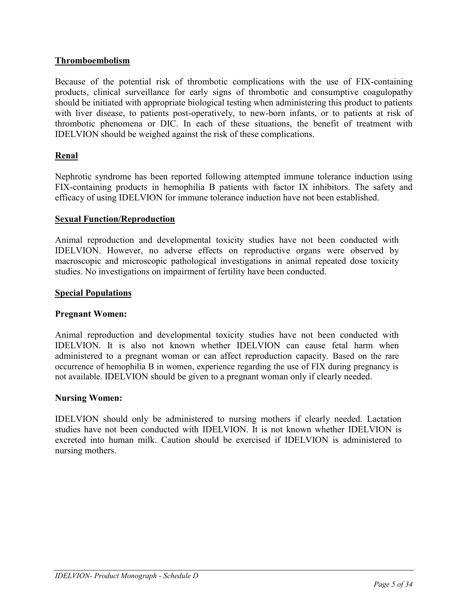# **Thromboembolism**

Because of the potential risk of thrombotic complications with the use of FIX-containing products, clinical surveillance for early signs of thrombotic and consumptive coagulopathy should be initiated with appropriate biological testing when administering this product to patients with liver disease, to patients post-operatively, to new-born infants, or to patients at risk of thrombotic phenomena or DIC. In each of these situations, the benefit of treatment with IDELVION should be weighed against the risk of these complications.

# **Renal**

Nephrotic syndrome has been reported following attempted immune tolerance induction using FIX-containing products in hemophilia B patients with factor IX inhibitors. The safety and efficacy of using IDELVION for immune tolerance induction have not been established.

### **Sexual Function/Reproduction**

Animal reproduction and developmental toxicity studies have not been conducted with IDELVION. However, no adverse effects on reproductive organs were observed by macroscopic and microscopic pathological investigations in animal repeated dose toxicity studies. No investigations on impairment of fertility have been conducted.

### **Special Populations**

#### **Pregnant Women:**

Animal reproduction and developmental toxicity studies have not been conducted with IDELVION. It is also not known whether IDELVION can cause fetal harm when administered to a pregnant woman or can affect reproduction capacity. Based on the rare occurrence of hemophilia B in women, experience regarding the use of FIX during pregnancy is not available. IDELVION should be given to a pregnant woman only if clearly needed.

#### **Nursing Women:**

IDELVION should only be administered to nursing mothers if clearly needed. Lactation studies have not been conducted with IDELVION. It is not known whether IDELVION is excreted into human milk. Caution should be exercised if IDELVION is administered to nursing mothers.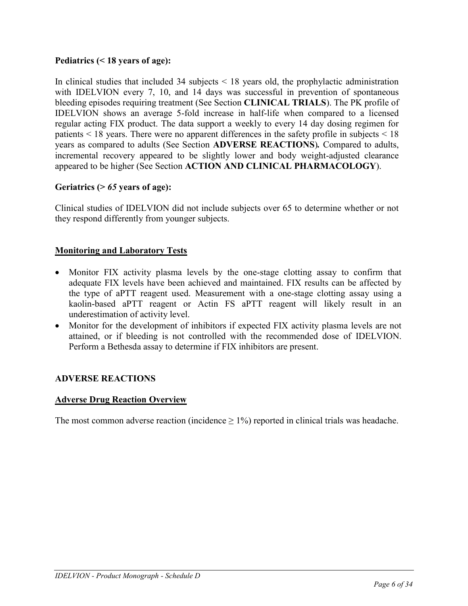# **Pediatrics (< 18 years of age):**

In clinical studies that included 34 subjects  $\leq$  18 years old, the prophylactic administration with IDELVION every 7, 10, and 14 days was successful in prevention of spontaneous bleeding episodes requiring treatment (See Section **CLINICAL TRIALS**). The PK profile of IDELVION shows an average 5-fold increase in half-life when compared to a licensed regular acting FIX product. The data support a weekly to every 14 day dosing regimen for patients < 18 years. There were no apparent differences in the safety profile in subjects < 18 years as compared to adults (See Section **ADVERSE REACTIONS**)*.* Compared to adults, incremental recovery appeared to be slightly lower and body weight-adjusted clearance appeared to be higher (See Section **ACTION AND CLINICAL PHARMACOLOGY**).

# **Geriatrics (>** *65* **years of age):**

Clinical studies of IDELVION did not include subjects over 65 to determine whether or not they respond differently from younger subjects.

# **Monitoring and Laboratory Tests**

- Monitor FIX activity plasma levels by the one-stage clotting assay to confirm that adequate FIX levels have been achieved and maintained. FIX results can be affected by the type of aPTT reagent used. Measurement with a one-stage clotting assay using a kaolin-based aPTT reagent or Actin FS aPTT reagent will likely result in an underestimation of activity level.
- Monitor for the development of inhibitors if expected FIX activity plasma levels are not attained, or if bleeding is not controlled with the recommended dose of IDELVION. Perform a Bethesda assay to determine if FIX inhibitors are present.

# **ADVERSE REACTIONS**

# **Adverse Drug Reaction Overview**

The most common adverse reaction (incidence  $\geq 1\%$ ) reported in clinical trials was headache.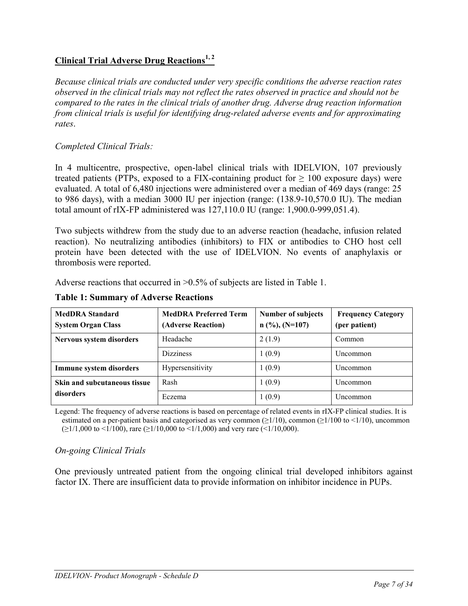# **Clinical Trial Adverse Drug Reactions1, 2**

*Because clinical trials are conducted under very specific conditions the adverse reaction rates observed in the clinical trials may not reflect the rates observed in practice and should not be compared to the rates in the clinical trials of another drug. Adverse drug reaction information from clinical trials is useful for identifying drug-related adverse events and for approximating rates*.

# *Completed Clinical Trials:*

In 4 multicentre, prospective, open-label clinical trials with IDELVION, 107 previously treated patients (PTPs, exposed to a FIX-containing product for  $\geq 100$  exposure days) were evaluated. A total of 6,480 injections were administered over a median of 469 days (range: 25 to 986 days), with a median 3000 IU per injection (range: (138.9-10,570.0 IU). The median total amount of rIX-FP administered was 127,110.0 IU (range: 1,900.0-999,051.4).

Two subjects withdrew from the study due to an adverse reaction (headache, infusion related reaction). No neutralizing antibodies (inhibitors) to FIX or antibodies to CHO host cell protein have been detected with the use of IDELVION. No events of anaphylaxis or thrombosis were reported.

Adverse reactions that occurred in >0.5% of subjects are listed in [Table 1.](#page-6-0)

| <b>MedDRA</b> Standard<br><b>System Organ Class</b> | <b>MedDRA Preferred Term</b><br>(Adverse Reaction) | Number of subjects<br>$n (%, (N=107))$ | <b>Frequency Category</b><br>(per patient) |
|-----------------------------------------------------|----------------------------------------------------|----------------------------------------|--------------------------------------------|
| Nervous system disorders                            | Headache                                           | 2(1.9)                                 | Common                                     |
|                                                     | <b>Dizziness</b>                                   | 1(0.9)                                 | Uncommon                                   |
| Immune system disorders                             | Hypersensitivity                                   | 1(0.9)                                 | Uncommon                                   |
| <b>Skin and subcutaneous tissue</b>                 | Rash                                               | 1(0.9)                                 | Uncommon                                   |
| disorders                                           | Eczema                                             | 1(0.9)                                 | Uncommon                                   |

<span id="page-6-0"></span>**Table 1: Summary of Adverse Reactions** 

Legend: The frequency of adverse reactions is based on percentage of related events in rIX-FP clinical studies. It is estimated on a per-patient basis and categorised as very common  $(\geq 1/10)$ , common  $(\geq 1/100$  to  $\leq 1/10)$ , uncommon (≥1/1,000 to <1/100), rare (≥1/10,000 to <1/1,000) and very rare (<1/10,000).

# *On-going Clinical Trials*

One previously untreated patient from the ongoing clinical trial developed inhibitors against factor IX. There are insufficient data to provide information on inhibitor incidence in PUPs.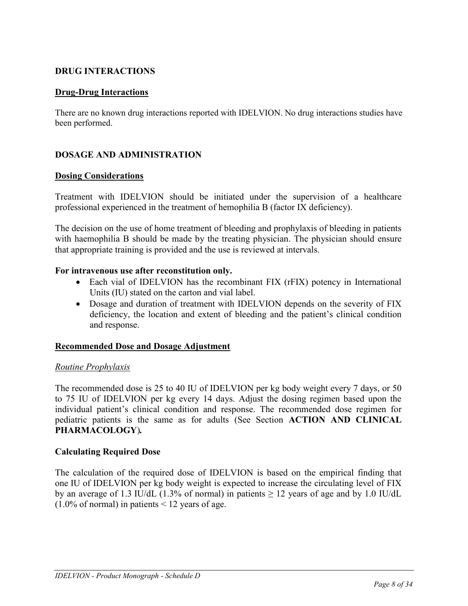# **DRUG INTERACTIONS**

# **Drug-Drug Interactions**

There are no known drug interactions reported with IDELVION. No drug interactions studies have been performed.

# **DOSAGE AND ADMINISTRATION**

### **Dosing Considerations**

Treatment with IDELVION should be initiated under the supervision of a healthcare professional experienced in the treatment of hemophilia B (factor IX deficiency).

The decision on the use of home treatment of bleeding and prophylaxis of bleeding in patients with haemophilia B should be made by the treating physician. The physician should ensure that appropriate training is provided and the use is reviewed at intervals.

### **For intravenous use after reconstitution only.**

- Each vial of IDELVION has the recombinant FIX (rFIX) potency in International Units (IU) stated on the carton and vial label.
- Dosage and duration of treatment with IDELVION depends on the severity of FIX deficiency, the location and extent of bleeding and the patient's clinical condition and response.

# **Recommended Dose and Dosage Adjustment**

#### *Routine Prophylaxis*

The recommended dose is 25 to 40 IU of IDELVION per kg body weight every 7 days, or 50 to 75 IU of IDELVION per kg every 14 days. Adjust the dosing regimen based upon the individual patient's clinical condition and response. The recommended dose regimen for pediatric patients is the same as for adults (See Section **ACTION AND CLINICAL PHARMACOLOGY**)*.*

# **Calculating Required Dose**

The calculation of the required dose of IDELVION is based on the empirical finding that one IU of IDELVION per kg body weight is expected to increase the circulating level of FIX by an average of 1.3 IU/dL (1.3% of normal) in patients  $\geq$  12 years of age and by 1.0 IU/dL  $(1.0\% \text{ of normal})$  in patients  $\leq 12$  years of age.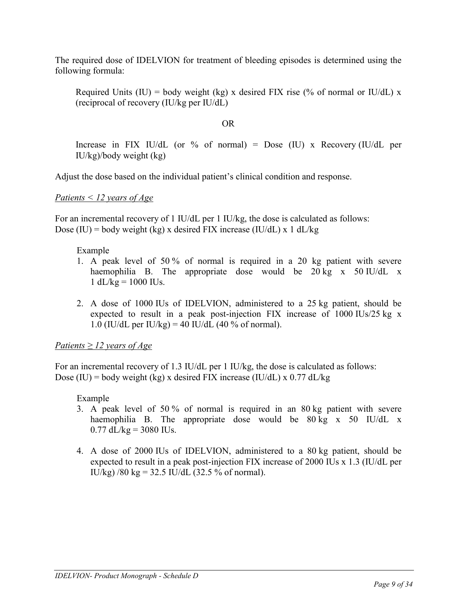The required dose of IDELVION for treatment of bleeding episodes is determined using the following formula:

Required Units (IU) = body weight (kg) x desired FIX rise (% of normal or IU/dL) x (reciprocal of recovery (IU/kg per IU/dL)

# OR

Increase in FIX IU/dL (or % of normal) = Dose (IU) x Recovery (IU/dL per IU/kg)/body weight (kg)

Adjust the dose based on the individual patient's clinical condition and response.

*Patients < 12 years of Age*

For an incremental recovery of 1 IU/dL per 1 IU/kg, the dose is calculated as follows: Dose (IU) = body weight (kg) x desired FIX increase (IU/dL) x 1 dL/kg

Example

- 1. A peak level of 50 % of normal is required in a 20 kg patient with severe haemophilia B. The appropriate dose would be  $20 \text{ kg}$  x  $50 \text{ IU/dL}$  x  $1 dL/kg = 1000 IUs.$
- 2. A dose of 1000 IUs of IDELVION, administered to a 25 kg patient, should be expected to result in a peak post-injection FIX increase of 1000 IUs/25 kg x 1.0 (IU/dL per IU/kg) = 40 IU/dL (40 % of normal).

*Patients ≥ 12 years of Age*

For an incremental recovery of 1.3 IU/dL per 1 IU/kg, the dose is calculated as follows: Dose (IU) = body weight (kg) x desired FIX increase (IU/dL) x  $0.77$  dL/kg

Example

- 3. A peak level of 50 % of normal is required in an 80 kg patient with severe haemophilia B. The appropriate dose would be 80 kg x 50 IU/dL x  $0.77$  dL/kg = 3080 IUs.
- 4. A dose of 2000 IUs of IDELVION, administered to a 80 kg patient, should be expected to result in a peak post-injection FIX increase of 2000 IUs x 1.3 (IU/dL per IU/kg) /80 kg = 32.5 IU/dL (32.5 % of normal).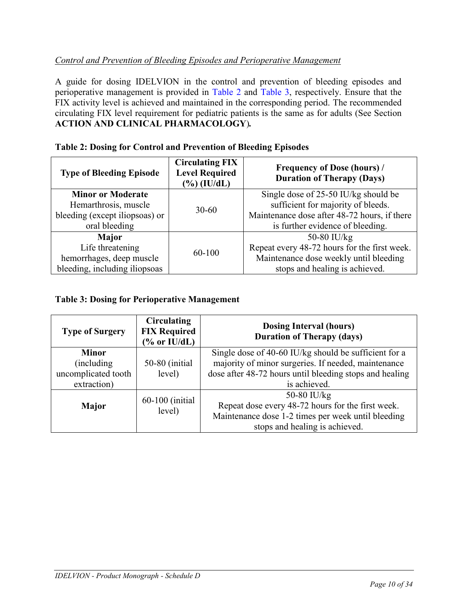# *Control and Prevention of Bleeding Episodes and Perioperative Management*

A guide for dosing IDELVION in the control and prevention of bleeding episodes and perioperative management is provided in [Table 2](#page-9-0) and [Table 3,](#page-9-1) respectively. Ensure that the FIX activity level is achieved and maintained in the corresponding period. The recommended circulating FIX level requirement for pediatric patients is the same as for adults (See Section **ACTION AND CLINICAL PHARMACOLOGY**)*.*

| <b>Type of Bleeding Episode</b> | <b>Circulating FIX</b><br><b>Level Required</b><br>$(\%)$ (IU/dL) | <b>Frequency of Dose (hours)</b> /<br><b>Duration of Therapy (Days)</b> |  |  |
|---------------------------------|-------------------------------------------------------------------|-------------------------------------------------------------------------|--|--|
| <b>Minor or Moderate</b>        |                                                                   | Single dose of $25-50$ IU/kg should be                                  |  |  |
| Hemarthrosis, muscle            | $30 - 60$                                                         | sufficient for majority of bleeds.                                      |  |  |
| bleeding (except iliopsoas) or  |                                                                   | Maintenance dose after 48-72 hours, if there                            |  |  |
| oral bleeding                   |                                                                   | is further evidence of bleeding.                                        |  |  |
| Major                           |                                                                   | 50-80 IU/ $kg$                                                          |  |  |
| Life threatening                | 60-100                                                            | Repeat every 48-72 hours for the first week.                            |  |  |
| hemorrhages, deep muscle        |                                                                   | Maintenance dose weekly until bleeding                                  |  |  |
| bleeding, including iliopsoas   |                                                                   | stops and healing is achieved.                                          |  |  |

# <span id="page-9-0"></span>**Table 2: Dosing for Control and Prevention of Bleeding Episodes**

# <span id="page-9-1"></span>**Table 3: Dosing for Perioperative Management**

| <b>Type of Surgery</b> | <b>Circulating</b><br><b>FIX Required</b><br>$\frac{6}{6}$ or IU/dL) | <b>Dosing Interval (hours)</b><br><b>Duration of Therapy (days)</b>                                            |  |  |  |
|------------------------|----------------------------------------------------------------------|----------------------------------------------------------------------------------------------------------------|--|--|--|
| <b>Minor</b>           |                                                                      | Single dose of 40-60 IU/kg should be sufficient for a                                                          |  |  |  |
| (including)            | 50-80 (initial                                                       | majority of minor surgeries. If needed, maintenance<br>dose after 48-72 hours until bleeding stops and healing |  |  |  |
| uncomplicated tooth    | level)                                                               |                                                                                                                |  |  |  |
| extraction)            |                                                                      | is achieved.                                                                                                   |  |  |  |
|                        | 60-100 (initial)                                                     | 50-80 IU/kg                                                                                                    |  |  |  |
| <b>Major</b>           |                                                                      | Repeat dose every 48-72 hours for the first week.                                                              |  |  |  |
|                        | level)                                                               | Maintenance dose 1-2 times per week until bleeding                                                             |  |  |  |
|                        |                                                                      | stops and healing is achieved.                                                                                 |  |  |  |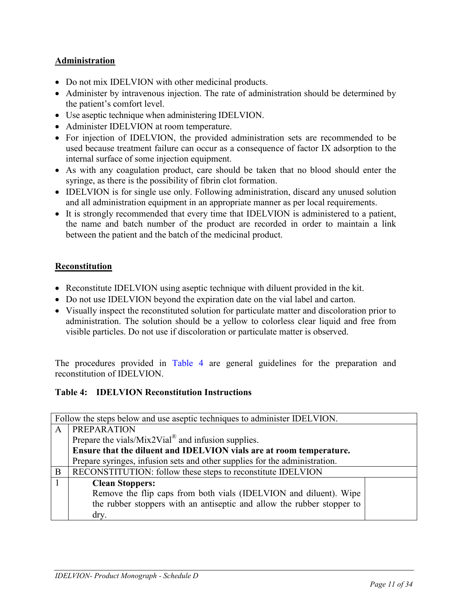# **Administration**

- Do not mix IDELVION with other medicinal products.
- Administer by intravenous injection. The rate of administration should be determined by the patient's comfort level.
- Use aseptic technique when administering IDELVION.
- Administer IDELVION at room temperature.
- For injection of IDELVION, the provided administration sets are recommended to be used because treatment failure can occur as a consequence of factor IX adsorption to the internal surface of some injection equipment.
- As with any coagulation product, care should be taken that no blood should enter the syringe, as there is the possibility of fibrin clot formation.
- IDELVION is for single use only. Following administration, discard any unused solution and all administration equipment in an appropriate manner as per local requirements.
- It is strongly recommended that every time that IDELVION is administered to a patient, the name and batch number of the product are recorded in order to maintain a link between the patient and the batch of the medicinal product.

# **Reconstitution**

- Reconstitute IDELVION using aseptic technique with diluent provided in the kit.
- Do not use IDELVION beyond the expiration date on the vial label and carton.
- Visually inspect the reconstituted solution for particulate matter and discoloration prior to administration. The solution should be a yellow to colorless clear liquid and free from visible particles. Do not use if discoloration or particulate matter is observed.

The procedures provided in [Table 4](#page-10-0) are general guidelines for the preparation and reconstitution of IDELVION.

# <span id="page-10-0"></span>**Table 4: IDELVION Reconstitution Instructions**

|   | Follow the steps below and use aseptic techniques to administer IDELVION.  |  |
|---|----------------------------------------------------------------------------|--|
| A | <b>PREPARATION</b>                                                         |  |
|   | Prepare the vials/ $Mix2Vial^{\circledR}$ and infusion supplies.           |  |
|   | Ensure that the diluent and IDELVION vials are at room temperature.        |  |
|   | Prepare syringes, infusion sets and other supplies for the administration. |  |
| B | RECONSTITUTION: follow these steps to reconstitute IDELVION                |  |
|   | <b>Clean Stoppers:</b>                                                     |  |
|   | Remove the flip caps from both vials (IDELVION and diluent). Wipe          |  |
|   | the rubber stoppers with an antiseptic and allow the rubber stopper to     |  |
|   | dry.                                                                       |  |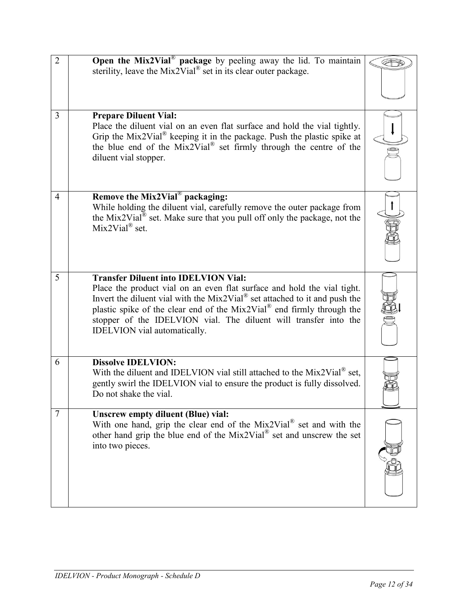| $\overline{2}$ | Open the Mix2Vial <sup>®</sup> package by peeling away the lid. To maintain<br>sterility, leave the Mix2Vial <sup>®</sup> set in its clear outer package.                                                                                                                                                                                                                                                  |  |
|----------------|------------------------------------------------------------------------------------------------------------------------------------------------------------------------------------------------------------------------------------------------------------------------------------------------------------------------------------------------------------------------------------------------------------|--|
| $\overline{3}$ | <b>Prepare Diluent Vial:</b><br>Place the diluent vial on an even flat surface and hold the vial tightly.<br>Grip the Mix2Vial <sup>®</sup> keeping it in the package. Push the plastic spike at<br>the blue end of the Mix2Vial <sup>®</sup> set firmly through the centre of the<br>diluent vial stopper.                                                                                                |  |
| 4              | Remove the Mix2Vial <sup>®</sup> packaging:<br>While holding the diluent vial, carefully remove the outer package from<br>the Mix2Vial <sup>®</sup> set. Make sure that you pull off only the package, not the<br>Mix2Vial <sup>®</sup> set.                                                                                                                                                               |  |
| 5              | <b>Transfer Diluent into IDELVION Vial:</b><br>Place the product vial on an even flat surface and hold the vial tight.<br>Invert the diluent vial with the Mix2Vial <sup>®</sup> set attached to it and push the<br>plastic spike of the clear end of the Mix2Vial <sup>®</sup> end firmly through the<br>stopper of the IDELVION vial. The diluent will transfer into the<br>IDELVION vial automatically. |  |
| 6              | <b>Dissolve IDELVION:</b><br>With the diluent and IDELVION vial still attached to the Mix2Vial <sup>®</sup> set,<br>gently swirl the IDELVION vial to ensure the product is fully dissolved.<br>Do not shake the vial.                                                                                                                                                                                     |  |
| $\tau$         | <b>Unscrew empty diluent (Blue) vial:</b><br>With one hand, grip the clear end of the Mix2Vial® set and with the<br>other hand grip the blue end of the $Mix2Vial^{\circledR}$ set and unscrew the set<br>into two pieces.                                                                                                                                                                                 |  |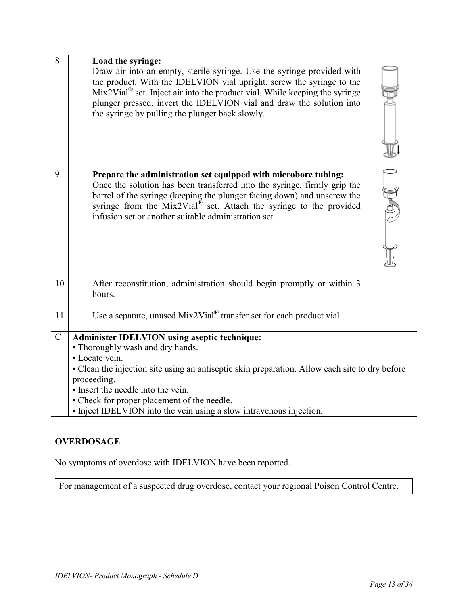| 8             | Load the syringe:<br>Draw air into an empty, sterile syringe. Use the syringe provided with<br>the product. With the IDELVION vial upright, screw the syringe to the<br>$Mix2Vial®$ set. Inject air into the product vial. While keeping the syringe<br>plunger pressed, invert the IDELVION vial and draw the solution into<br>the syringe by pulling the plunger back slowly.        |  |
|---------------|----------------------------------------------------------------------------------------------------------------------------------------------------------------------------------------------------------------------------------------------------------------------------------------------------------------------------------------------------------------------------------------|--|
| 9             | Prepare the administration set equipped with microbore tubing:<br>Once the solution has been transferred into the syringe, firmly grip the<br>barrel of the syringe (keeping the plunger facing down) and unscrew the<br>syringe from the Mix2Vial <sup>®</sup> set. Attach the syringe to the provided<br>infusion set or another suitable administration set.                        |  |
| 10            | After reconstitution, administration should begin promptly or within 3<br>hours.                                                                                                                                                                                                                                                                                                       |  |
| 11            | Use a separate, unused $Mix2Vial^{\circledast}$ transfer set for each product vial.                                                                                                                                                                                                                                                                                                    |  |
| $\mathcal{C}$ | <b>Administer IDELVION using aseptic technique:</b><br>• Thoroughly wash and dry hands.<br>• Locate vein.<br>• Clean the injection site using an antiseptic skin preparation. Allow each site to dry before<br>proceeding.<br>• Insert the needle into the vein.<br>• Check for proper placement of the needle.<br>• Inject IDELVION into the vein using a slow intravenous injection. |  |

# **OVERDOSAGE**

No symptoms of overdose with IDELVION have been reported.

For management of a suspected drug overdose, contact your regional Poison Control Centre.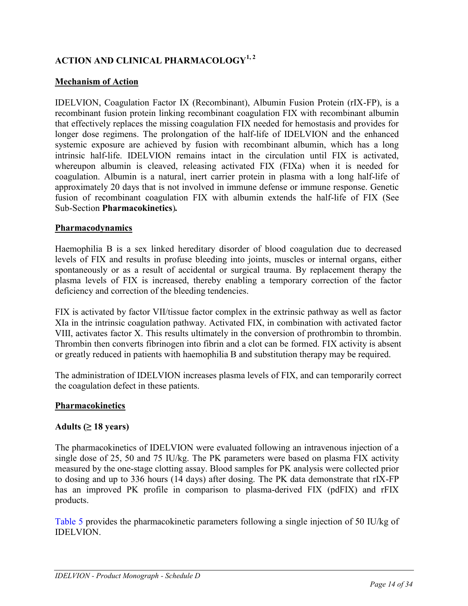# **ACTION AND CLINICAL PHARMACOLOGY1, 2**

# **Mechanism of Action**

IDELVION, Coagulation Factor IX (Recombinant), Albumin Fusion Protein (rIX-FP), is a recombinant fusion protein linking recombinant coagulation FIX with recombinant albumin that effectively replaces the missing coagulation FIX needed for hemostasis and provides for longer dose regimens. The prolongation of the half-life of IDELVION and the enhanced systemic exposure are achieved by fusion with recombinant albumin, which has a long intrinsic half-life. IDELVION remains intact in the circulation until FIX is activated, whereupon albumin is cleaved, releasing activated FIX (FIXa) when it is needed for coagulation. Albumin is a natural, inert carrier protein in plasma with a long half-life of approximately 20 days that is not involved in immune defense or immune response. Genetic fusion of recombinant coagulation FIX with albumin extends the half-life of FIX (See Sub-Section **Pharmacokinetics**)*.*

# **Pharmacodynamics**

Haemophilia B is a sex linked hereditary disorder of blood coagulation due to decreased levels of FIX and results in profuse bleeding into joints, muscles or internal organs, either spontaneously or as a result of accidental or surgical trauma. By replacement therapy the plasma levels of FIX is increased, thereby enabling a temporary correction of the factor deficiency and correction of the bleeding tendencies.

FIX is activated by factor VII/tissue factor complex in the extrinsic pathway as well as factor XIa in the intrinsic coagulation pathway. Activated FIX, in combination with activated factor VIII, activates factor X. This results ultimately in the conversion of prothrombin to thrombin. Thrombin then converts fibrinogen into fibrin and a clot can be formed. FIX activity is absent or greatly reduced in patients with haemophilia B and substitution therapy may be required.

The administration of IDELVION increases plasma levels of FIX, and can temporarily correct the coagulation defect in these patients.

# **Pharmacokinetics**

# **Adults (≥ 18 years)**

The pharmacokinetics of IDELVION were evaluated following an intravenous injection of a single dose of 25, 50 and 75 IU/kg. The PK parameters were based on plasma FIX activity measured by the one-stage clotting assay. Blood samples for PK analysis were collected prior to dosing and up to 336 hours (14 days) after dosing. The PK data demonstrate that rIX-FP has an improved PK profile in comparison to plasma-derived FIX (pdFIX) and rFIX products.

[Table 5](#page-14-0) provides the pharmacokinetic parameters following a single injection of 50 IU/kg of IDELVION.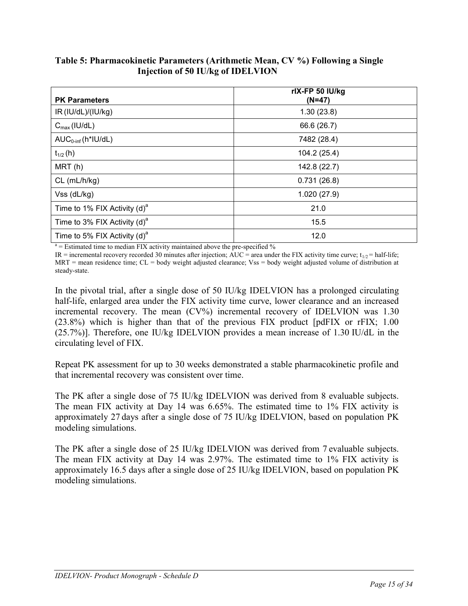| <b>PK Parameters</b>                     | rlX-FP 50 IU/kg<br>(N=47) |
|------------------------------------------|---------------------------|
| IR (IU/dL)/(IU/kg)                       | 1.30(23.8)                |
| $C_{\text{max}}$ (IU/dL)                 | 66.6 (26.7)               |
| $AUC_{0\text{-inf}}(h^*IU/dL)$           | 7482 (28.4)               |
| $t_{1/2}$ (h)                            | 104.2 (25.4)              |
| MRT(h)                                   | 142.8 (22.7)              |
| $CL$ (mL/h/kg)                           | 0.731(26.8)               |
| Vss (dL/kg)                              | 1.020(27.9)               |
| Time to 1% FIX Activity $(d)^a$          | 21.0                      |
| Time to 3% FIX Activity (d) <sup>a</sup> | 15.5                      |
| Time to 5% FIX Activity (d) <sup>a</sup> | 12.0                      |

<span id="page-14-0"></span>**Table 5: Pharmacokinetic Parameters (Arithmetic Mean, CV %) Following a Single Injection of 50 IU/kg of IDELVION**

 $a =$  Estimated time to median FIX activity maintained above the pre-specified  $\%$ 

IR = incremental recovery recorded 30 minutes after injection;  $\angle AUC =$  area under the FIX activity time curve; t<sub>1/2</sub> = half-life; MRT = mean residence time; CL = body weight adjusted clearance; Vss = body weight adjusted volume of distribution at steady-state.

In the pivotal trial, after a single dose of 50 IU/kg IDELVION has a prolonged circulating half-life, enlarged area under the FIX activity time curve, lower clearance and an increased incremental recovery. The mean (CV%) incremental recovery of IDELVION was 1.30 (23.8%) which is higher than that of the previous FIX product [pdFIX or rFIX; 1.00 (25.7%)]. Therefore, one IU/kg IDELVION provides a mean increase of 1.30 IU/dL in the circulating level of FIX.

Repeat PK assessment for up to 30 weeks demonstrated a stable pharmacokinetic profile and that incremental recovery was consistent over time.

The PK after a single dose of 75 IU/kg IDELVION was derived from 8 evaluable subjects. The mean FIX activity at Day 14 was 6.65%. The estimated time to 1% FIX activity is approximately 27 days after a single dose of 75 IU/kg IDELVION, based on population PK modeling simulations.

The PK after a single dose of 25 IU/kg IDELVION was derived from 7 evaluable subjects. The mean FIX activity at Day 14 was 2.97%. The estimated time to 1% FIX activity is approximately 16.5 days after a single dose of 25 IU/kg IDELVION, based on population PK modeling simulations.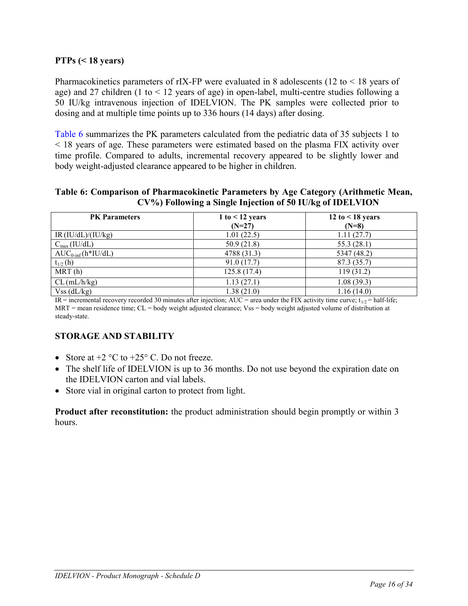# **PTPs (< 18 years)**

Pharmacokinetics parameters of rIX-FP were evaluated in 8 adolescents (12 to  $\leq$  18 years of age) and 27 children (1 to  $\leq$  12 years of age) in open-label, multi-centre studies following a 50 IU/kg intravenous injection of IDELVION. The PK samples were collected prior to dosing and at multiple time points up to 336 hours (14 days) after dosing.

[Table 6](#page-15-0) summarizes the PK parameters calculated from the pediatric data of 35 subjects 1 to < 18 years of age. These parameters were estimated based on the plasma FIX activity over time profile. Compared to adults, incremental recovery appeared to be slightly lower and body weight-adjusted clearance appeared to be higher in children.

<span id="page-15-0"></span>**Table 6: Comparison of Pharmacokinetic Parameters by Age Category (Arithmetic Mean, CV%) Following a Single Injection of 50 IU/kg of IDELVION**

| <b>PK</b> Parameters          | 1 to $<$ 12 years | 12 to $<$ 18 years |
|-------------------------------|-------------------|--------------------|
|                               | $(N=27)$          | $(N=8)$            |
| IR (IU/dL)/(IU/kg)            | 1.01(22.5)        | 1.11(27.7)         |
| $C_{\text{max}}(IU/dL)$       | 50.9(21.8)        | 55.3(28.1)         |
| $AUC_{0\text{-inf}}(h*IU/dL)$ | 4788 (31.3)       | 5347 (48.2)        |
| $t_{1/2}$ (h)                 | 91.0(17.7)        | 87.3 (35.7)        |
| MRT(h)                        | 125.8(17.4)       | 119(31.2)          |
| $CL$ (mL/h/kg)                | 1.13(27.1)        | 1.08(39.3)         |
| $Vss$ (dL/kg)                 | 1.38(21.0)        | 1.16(14.0)         |

IR = incremental recovery recorded 30 minutes after injection; AUC = area under the FIX activity time curve;  $t_{1/2}$  = half-life; MRT = mean residence time; CL = body weight adjusted clearance; Vss = body weight adjusted volume of distribution at steady-state.

# **STORAGE AND STABILITY**

- Store at  $+2$  °C to  $+25$ °C. Do not freeze.
- The shelf life of IDELVION is up to 36 months. Do not use beyond the expiration date on the IDELVION carton and vial labels.
- Store vial in original carton to protect from light.

**Product after reconstitution:** the product administration should begin promptly or within 3 hours.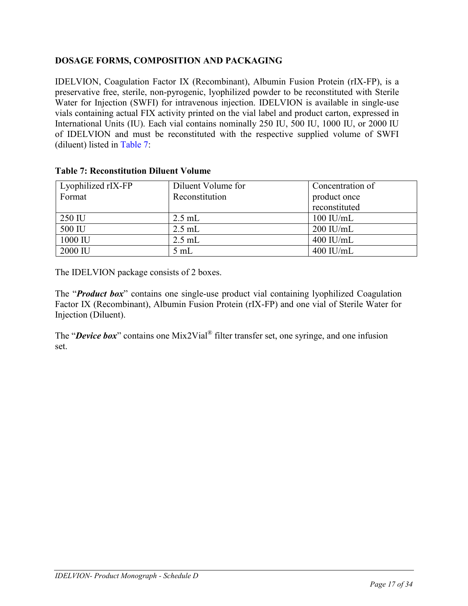# **DOSAGE FORMS, COMPOSITION AND PACKAGING**

IDELVION, Coagulation Factor IX (Recombinant), Albumin Fusion Protein (rIX-FP), is a preservative free, sterile, non-pyrogenic, lyophilized powder to be reconstituted with Sterile Water for Injection (SWFI) for intravenous injection. IDELVION is available in single-use vials containing actual FIX activity printed on the vial label and product carton, expressed in International Units (IU). Each vial contains nominally 250 IU, 500 IU, 1000 IU, or 2000 IU of IDELVION and must be reconstituted with the respective supplied volume of SWFI (diluent) listed in [Table 7:](#page-16-0)

| Lyophilized rIX-FP | Diluent Volume for | Concentration of |
|--------------------|--------------------|------------------|
| Format             | Reconstitution     | product once     |
|                    |                    | reconstituted    |
| 250 IU             | $2.5$ mL           | $100$ IU/mL      |
| 500 IU             | $2.5$ mL           | $200$ IU/mL      |
| 1000 IU            | $2.5$ mL           | $400$ IU/mL      |
| 2000 IU            | $5 \text{ mL}$     | $400$ IU/mL      |

#### <span id="page-16-0"></span>**Table 7: Reconstitution Diluent Volume**

The IDELVION package consists of 2 boxes.

The "*Product box*" contains one single-use product vial containing lyophilized Coagulation Factor IX (Recombinant), Albumin Fusion Protein (rIX-FP) and one vial of Sterile Water for Injection (Diluent).

The "*Device box*" contains one Mix2Vial<sup>®</sup> filter transfer set, one syringe, and one infusion set.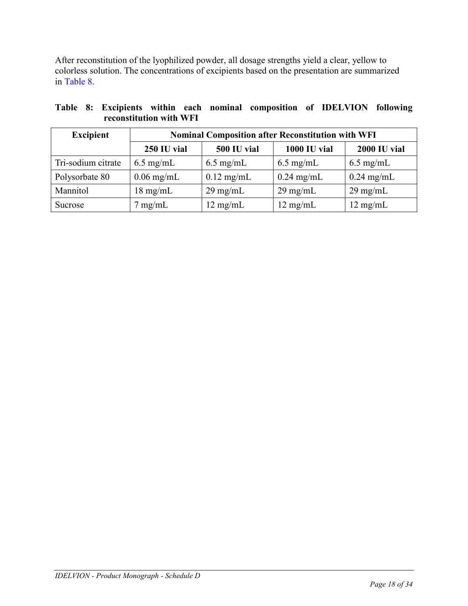After reconstitution of the lyophilized powder, all dosage strengths yield a clear, yellow to colorless solution. The concentrations of excipients based on the presentation are summarized in [Table 8.](#page-17-0)

<span id="page-17-0"></span>

|  |                         |  | Table 8: Excipients within each nominal composition of IDELVION following |  |  |
|--|-------------------------|--|---------------------------------------------------------------------------|--|--|
|  | reconstitution with WFI |  |                                                                           |  |  |

| <b>Excipient</b>   | <b>Nominal Composition after Reconstitution with WFI</b> |                      |                     |                     |
|--------------------|----------------------------------------------------------|----------------------|---------------------|---------------------|
|                    | 250 IU vial                                              | 500 IU vial          | <b>1000 IU vial</b> | <b>2000 IU vial</b> |
| Tri-sodium citrate | $6.5 \text{ mg/mL}$                                      | $6.5 \text{ mg/mL}$  | $6.5 \text{ mg/mL}$ | $6.5 \text{ mg/mL}$ |
| Polysorbate 80     | $0.06$ mg/mL                                             | $0.12 \text{ mg/mL}$ | $0.24$ mg/mL        | $0.24$ mg/mL        |
| Mannitol           | $18 \text{ mg/mL}$                                       | $29 \text{ mg/mL}$   | $29 \text{ mg/mL}$  | $29 \text{ mg/mL}$  |
| Sucrose            | $7 \text{ mg/mL}$                                        | $12 \text{ mg/mL}$   | $12 \text{ mg/mL}$  | $12 \text{ mg/mL}$  |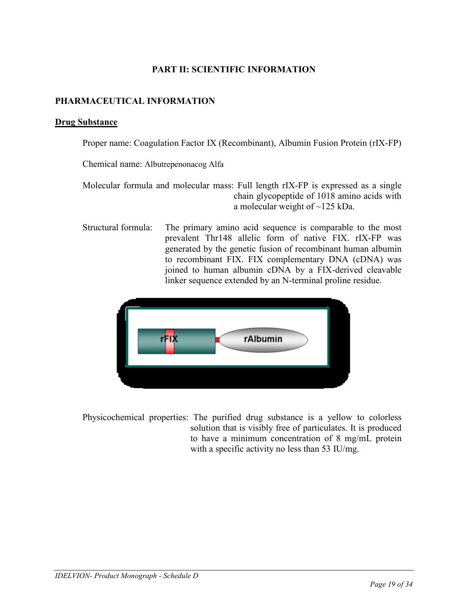# **PART II: SCIENTIFIC INFORMATION**

# **PHARMACEUTICAL INFORMATION**

#### **Drug Substance**

Proper name: Coagulation Factor IX (Recombinant), Albumin Fusion Protein (rIX-FP)

Chemical name: Albutrepenonacog Alfa

Molecular formula and molecular mass: Full length rIX-FP is expressed as a single chain glycopeptide of 1018 amino acids with a molecular weight of ~125 kDa.

Structural formula: The primary amino acid sequence is comparable to the most prevalent Thr148 allelic form of native FIX. rIX-FP was generated by the genetic fusion of recombinant human albumin to recombinant FIX. FIX complementary DNA (cDNA) was joined to human albumin cDNA by a FIX-derived cleavable linker sequence extended by an N-terminal proline residue.



Physicochemical properties: The purified drug substance is a yellow to colorless solution that is visibly free of particulates. It is produced to have a minimum concentration of 8 mg/mL protein with a specific activity no less than 53 IU/mg.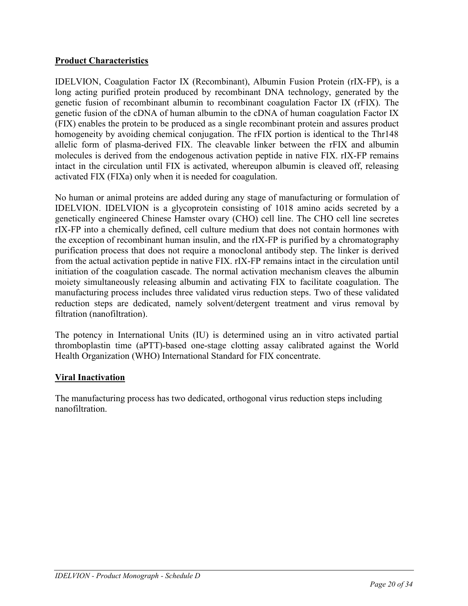# **Product Characteristics**

IDELVION, Coagulation Factor IX (Recombinant), Albumin Fusion Protein (rIX-FP), is a long acting purified protein produced by recombinant DNA technology, generated by the genetic fusion of recombinant albumin to recombinant coagulation Factor IX (rFIX). The genetic fusion of the cDNA of human albumin to the cDNA of human coagulation Factor IX (FIX) enables the protein to be produced as a single recombinant protein and assures product homogeneity by avoiding chemical conjugation. The rFIX portion is identical to the Thr148 allelic form of plasma-derived FIX. The cleavable linker between the rFIX and albumin molecules is derived from the endogenous activation peptide in native FIX. rIX-FP remains intact in the circulation until FIX is activated, whereupon albumin is cleaved off, releasing activated FIX (FIXa) only when it is needed for coagulation.

No human or animal proteins are added during any stage of manufacturing or formulation of IDELVION. IDELVION is a glycoprotein consisting of 1018 amino acids secreted by a genetically engineered Chinese Hamster ovary (CHO) cell line. The CHO cell line secretes rIX-FP into a chemically defined, cell culture medium that does not contain hormones with the exception of recombinant human insulin, and the rIX-FP is purified by a chromatography purification process that does not require a monoclonal antibody step. The linker is derived from the actual activation peptide in native FIX. rIX-FP remains intact in the circulation until initiation of the coagulation cascade. The normal activation mechanism cleaves the albumin moiety simultaneously releasing albumin and activating FIX to facilitate coagulation. The manufacturing process includes three validated virus reduction steps. Two of these validated reduction steps are dedicated, namely solvent/detergent treatment and virus removal by filtration (nanofiltration).

The potency in International Units (IU) is determined using an in vitro activated partial thromboplastin time (aPTT)-based one-stage clotting assay calibrated against the World Health Organization (WHO) International Standard for FIX concentrate.

# **Viral Inactivation**

The manufacturing process has two dedicated, orthogonal virus reduction steps including nanofiltration.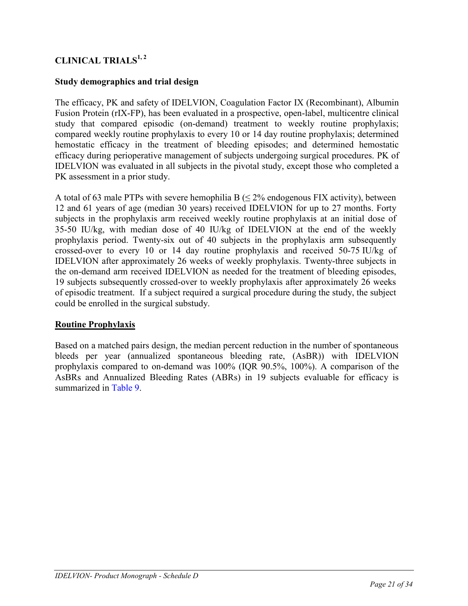# **CLINICAL TRIALS1, <sup>2</sup>**

# **Study demographics and trial design**

The efficacy, PK and safety of IDELVION, Coagulation Factor IX (Recombinant), Albumin Fusion Protein (rIX-FP), has been evaluated in a prospective, open-label, multicentre clinical study that compared episodic (on-demand) treatment to weekly routine prophylaxis; compared weekly routine prophylaxis to every 10 or 14 day routine prophylaxis; determined hemostatic efficacy in the treatment of bleeding episodes; and determined hemostatic efficacy during perioperative management of subjects undergoing surgical procedures. PK of IDELVION was evaluated in all subjects in the pivotal study, except those who completed a PK assessment in a prior study.

A total of 63 male PTPs with severe hemophilia B  $( \leq 2\%$  endogenous FIX activity), between 12 and 61 years of age (median 30 years) received IDELVION for up to 27 months. Forty subjects in the prophylaxis arm received weekly routine prophylaxis at an initial dose of 35-50 IU/kg, with median dose of 40 IU/kg of IDELVION at the end of the weekly prophylaxis period. Twenty-six out of 40 subjects in the prophylaxis arm subsequently crossed-over to every 10 or 14 day routine prophylaxis and received 50-75 IU/kg of IDELVION after approximately 26 weeks of weekly prophylaxis. Twenty-three subjects in the on-demand arm received IDELVION as needed for the treatment of bleeding episodes, 19 subjects subsequently crossed-over to weekly prophylaxis after approximately 26 weeks of episodic treatment. If a subject required a surgical procedure during the study, the subject could be enrolled in the surgical substudy.

# **Routine Prophylaxis**

Based on a matched pairs design, the median percent reduction in the number of spontaneous bleeds per year (annualized spontaneous bleeding rate, (AsBR)) with IDELVION prophylaxis compared to on-demand was 100% (IQR 90.5%, 100%). A comparison of the AsBRs and Annualized Bleeding Rates (ABRs) in 19 subjects evaluable for efficacy is summarized in [Table 9.](#page-21-0)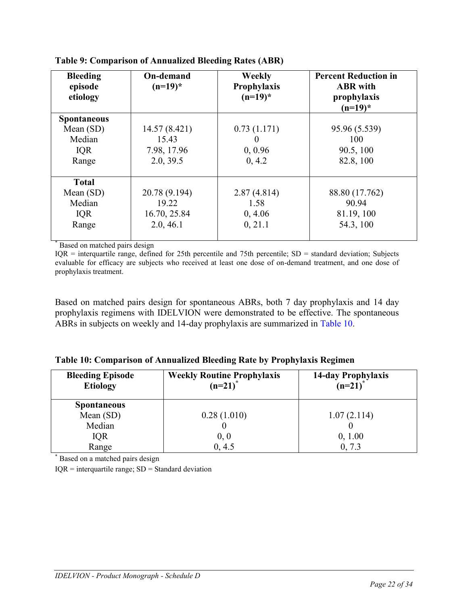| <b>Bleeding</b><br>episode<br>etiology | <b>On-demand</b><br>$(n=19)^*$ | Weekly<br>Prophylaxis<br>$(n=19)^*$ | <b>Percent Reduction in</b><br><b>ABR</b> with<br>prophylaxis<br>$(n=19)^*$ |
|----------------------------------------|--------------------------------|-------------------------------------|-----------------------------------------------------------------------------|
| <b>Spontaneous</b>                     |                                |                                     |                                                                             |
| Mean $(SD)$                            | 14.57 (8.421)                  | 0.73(1.171)                         | 95.96 (5.539)                                                               |
| Median                                 | 15.43                          | $\theta$                            | 100                                                                         |
| <b>IQR</b>                             | 7.98, 17.96                    | 0, 0.96                             | 90.5, 100                                                                   |
| Range                                  | 2.0, 39.5                      | 0, 4.2                              | 82.8, 100                                                                   |
| <b>Total</b>                           |                                |                                     |                                                                             |
| Mean $(SD)$                            | 20.78 (9.194)                  | 2.87(4.814)                         | 88.80 (17.762)                                                              |
| Median                                 | 19.22                          | 1.58                                | 90.94                                                                       |
| <b>IQR</b>                             | 16.70, 25.84                   | 0, 4.06                             | 81.19, 100                                                                  |
| Range                                  | 2.0, 46.1                      | 0, 21.1                             | 54.3, 100                                                                   |

<span id="page-21-0"></span>**Table 9: Comparison of Annualized Bleeding Rates (ABR)**

\* Based on matched pairs design

 $IQR =$  interquartile range, defined for 25th percentile and 75th percentile;  $SD =$  standard deviation; Subjects evaluable for efficacy are subjects who received at least one dose of on-demand treatment, and one dose of prophylaxis treatment.

Based on matched pairs design for spontaneous ABRs, both 7 day prophylaxis and 14 day prophylaxis regimens with IDELVION were demonstrated to be effective. The spontaneous ABRs in subjects on weekly and 14-day prophylaxis are summarized in [Table 10.](#page-21-1)

<span id="page-21-1"></span>

|  | Table 10: Comparison of Annualized Bleeding Rate by Prophylaxis Regimen |  |  |  |  |
|--|-------------------------------------------------------------------------|--|--|--|--|

| <b>Bleeding Episode</b><br><b>Etiology</b> | <b>Weekly Routine Prophylaxis</b><br>$(n=21)^{*}$ | 14-day Prophylaxis<br>$(n=21)^*$ |
|--------------------------------------------|---------------------------------------------------|----------------------------------|
| <b>Spontaneous</b>                         |                                                   |                                  |
| Mean $(SD)$                                | 0.28(1.010)                                       | 1.07(2.114)                      |
| Median                                     |                                                   |                                  |
| <b>IQR</b>                                 | 0, 0                                              | 0, 1.00                          |
| Range                                      | 0, 4.5                                            | 0, 7.3                           |

\* Based on a matched pairs design

 $IQR =$  interquartile range;  $SD =$  Standard deviation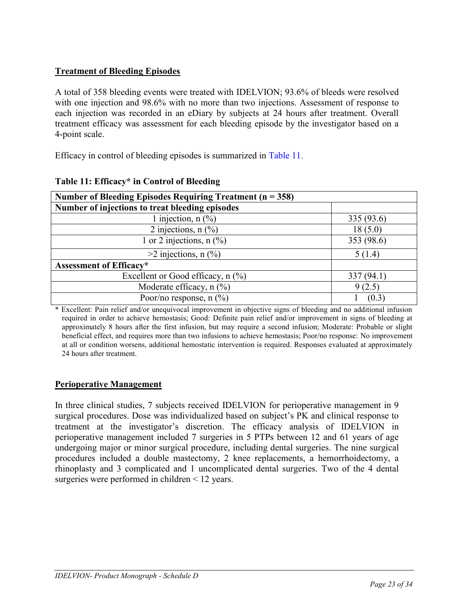# **Treatment of Bleeding Episodes**

A total of 358 bleeding events were treated with IDELVION; 93.6% of bleeds were resolved with one injection and 98.6% with no more than two injections. Assessment of response to each injection was recorded in an eDiary by subjects at 24 hours after treatment. Overall treatment efficacy was assessment for each bleeding episode by the investigator based on a 4-point scale.

Efficacy in control of bleeding episodes is summarized in [Table 11.](#page-22-0)

| Number of Bleeding Episodes Requiring Treatment ( $n = 358$ ) |            |  |  |  |
|---------------------------------------------------------------|------------|--|--|--|
| Number of injections to treat bleeding episodes               |            |  |  |  |
| 1 injection, $n$ (%)                                          | 335(93.6)  |  |  |  |
| 2 injections, $n$ $\frac{6}{6}$                               | 18(5.0)    |  |  |  |
| 1 or 2 injections, $n$ (%)                                    | 353 (98.6) |  |  |  |
| $>2$ injections, n $(\frac{6}{6})$                            | 5(1.4)     |  |  |  |
| <b>Assessment of Efficacy*</b>                                |            |  |  |  |
| Excellent or Good efficacy, $n$ (%)                           | 337(94.1)  |  |  |  |
| Moderate efficacy, $n$ $(\%)$                                 | 9(2.5)     |  |  |  |
| Poor/no response, $n$ (%)                                     | (0.3)      |  |  |  |

# <span id="page-22-0"></span>**Table 11: Efficacy\* in Control of Bleeding**

\* Excellent: Pain relief and/or unequivocal improvement in objective signs of bleeding and no additional infusion required in order to achieve hemostasis; Good: Definite pain relief and/or improvement in signs of bleeding at approximately 8 hours after the first infusion, but may require a second infusion; Moderate: Probable or slight beneficial effect, and requires more than two infusions to achieve hemostasis; Poor/no response: No improvement at all or condition worsens, additional hemostatic intervention is required. Responses evaluated at approximately 24 hours after treatment.

# **Perioperative Management**

In three clinical studies, 7 subjects received IDELVION for perioperative management in 9 surgical procedures. Dose was individualized based on subject's PK and clinical response to treatment at the investigator's discretion. The efficacy analysis of IDELVION in perioperative management included 7 surgeries in 5 PTPs between 12 and 61 years of age undergoing major or minor surgical procedure, including dental surgeries. The nine surgical procedures included a double mastectomy, 2 knee replacements, a hemorrhoidectomy, a rhinoplasty and 3 complicated and 1 uncomplicated dental surgeries. Two of the 4 dental surgeries were performed in children < 12 years.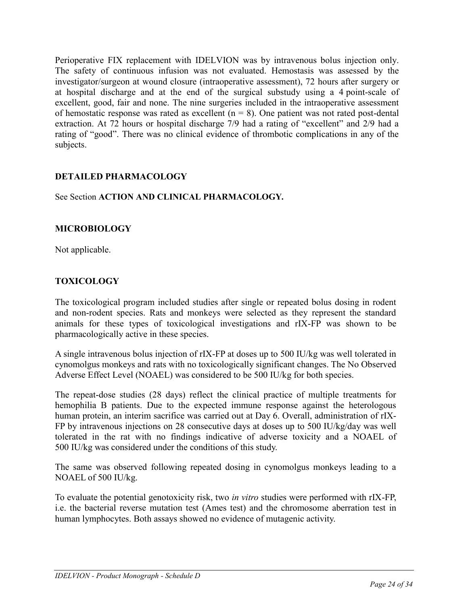Perioperative FIX replacement with IDELVION was by intravenous bolus injection only. The safety of continuous infusion was not evaluated. Hemostasis was assessed by the investigator/surgeon at wound closure (intraoperative assessment), 72 hours after surgery or at hospital discharge and at the end of the surgical substudy using a 4 point-scale of excellent, good, fair and none. The nine surgeries included in the intraoperative assessment of hemostatic response was rated as excellent  $(n = 8)$ . One patient was not rated post-dental extraction. At 72 hours or hospital discharge 7/9 had a rating of "excellent" and 2/9 had a rating of "good". There was no clinical evidence of thrombotic complications in any of the subjects.

# **DETAILED PHARMACOLOGY**

### See Section **ACTION AND CLINICAL PHARMACOLOGY***.*

# **MICROBIOLOGY**

Not applicable.

# **TOXICOLOGY**

The toxicological program included studies after single or repeated bolus dosing in rodent and non-rodent species. Rats and monkeys were selected as they represent the standard animals for these types of toxicological investigations and rIX-FP was shown to be pharmacologically active in these species.

A single intravenous bolus injection of rIX-FP at doses up to 500 IU/kg was well tolerated in cynomolgus monkeys and rats with no toxicologically significant changes. The No Observed Adverse Effect Level (NOAEL) was considered to be 500 IU/kg for both species.

The repeat-dose studies (28 days) reflect the clinical practice of multiple treatments for hemophilia B patients. Due to the expected immune response against the heterologous human protein, an interim sacrifice was carried out at Day 6. Overall, administration of rIX-FP by intravenous injections on 28 consecutive days at doses up to 500 IU/kg/day was well tolerated in the rat with no findings indicative of adverse toxicity and a NOAEL of 500 IU/kg was considered under the conditions of this study.

The same was observed following repeated dosing in cynomolgus monkeys leading to a NOAEL of 500 IU/kg.

To evaluate the potential genotoxicity risk, two *in vitro* studies were performed with rIX-FP, i.e. the bacterial reverse mutation test (Ames test) and the chromosome aberration test in human lymphocytes. Both assays showed no evidence of mutagenic activity.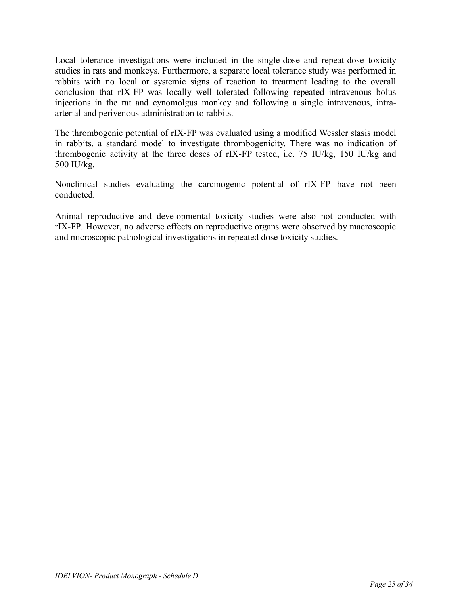Local tolerance investigations were included in the single-dose and repeat-dose toxicity studies in rats and monkeys. Furthermore, a separate local tolerance study was performed in rabbits with no local or systemic signs of reaction to treatment leading to the overall conclusion that rIX-FP was locally well tolerated following repeated intravenous bolus injections in the rat and cynomolgus monkey and following a single intravenous, intraarterial and perivenous administration to rabbits.

The thrombogenic potential of rIX-FP was evaluated using a modified Wessler stasis model in rabbits, a standard model to investigate thrombogenicity. There was no indication of thrombogenic activity at the three doses of rIX-FP tested, i.e. 75 IU/kg, 150 IU/kg and 500 IU/kg.

Nonclinical studies evaluating the carcinogenic potential of rIX-FP have not been conducted.

Animal reproductive and developmental toxicity studies were also not conducted with rIX-FP. However, no adverse effects on reproductive organs were observed by macroscopic and microscopic pathological investigations in repeated dose toxicity studies.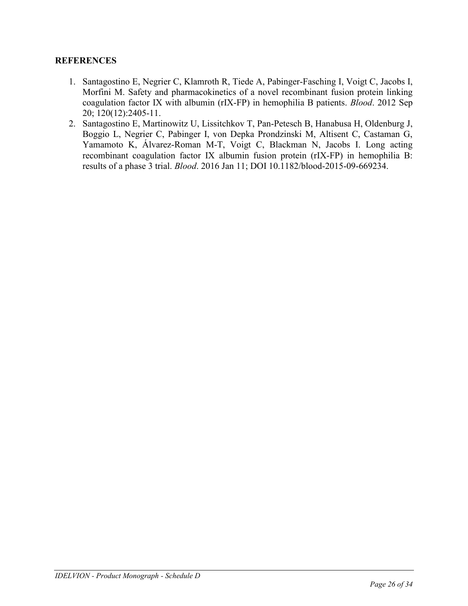# **REFERENCES**

- 1. [Santagostino E,](http://www.ncbi.nlm.nih.gov/pubmed/?term=Santagostino%20E%5BAuthor%5D&cauthor=true&cauthor_uid=22859609) [Negrier C,](http://www.ncbi.nlm.nih.gov/pubmed/?term=Negrier%20C%5BAuthor%5D&cauthor=true&cauthor_uid=22859609) [Klamroth R,](http://www.ncbi.nlm.nih.gov/pubmed/?term=Klamroth%20R%5BAuthor%5D&cauthor=true&cauthor_uid=22859609) [Tiede A,](http://www.ncbi.nlm.nih.gov/pubmed/?term=Tiede%20A%5BAuthor%5D&cauthor=true&cauthor_uid=22859609) [Pabinger-Fasching I,](http://www.ncbi.nlm.nih.gov/pubmed/?term=Pabinger-Fasching%20I%5BAuthor%5D&cauthor=true&cauthor_uid=22859609) [Voigt C,](http://www.ncbi.nlm.nih.gov/pubmed/?term=Voigt%20C%5BAuthor%5D&cauthor=true&cauthor_uid=22859609) [Jacobs I,](http://www.ncbi.nlm.nih.gov/pubmed/?term=Jacobs%20I%5BAuthor%5D&cauthor=true&cauthor_uid=22859609) [Morfini M.](http://www.ncbi.nlm.nih.gov/pubmed/?term=Morfini%20M%5BAuthor%5D&cauthor=true&cauthor_uid=22859609) Safety and pharmacokinetics of a novel recombinant fusion protein linking coagulation factor IX with albumin (rIX-FP) in hemophilia B patients. *[Blood](http://www.ncbi.nlm.nih.gov/pubmed/22859609)*. 2012 Sep 20; 120(12):2405-11.
- 2. Santagostino E, Martinowitz U, Lissitchkov T, Pan-Petesch B, Hanabusa H, Oldenburg J, Boggio L, Negrier C, Pabinger I, von Depka Prondzinski M, Altisent C, Castaman G, Yamamoto K, Álvarez-Roman M-T, Voigt C, Blackman N, Jacobs I. Long acting recombinant coagulation factor IX albumin fusion protein (rIX-FP) in hemophilia B: results of a phase 3 trial. *Blood*. 2016 Jan 11; DOI 10.1182/blood-2015-09-669234.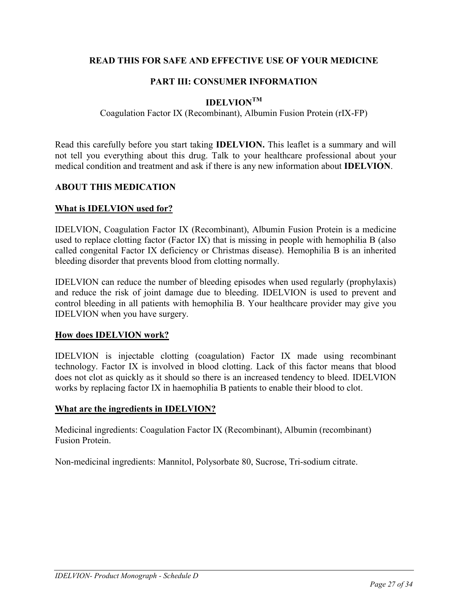# **READ THIS FOR SAFE AND EFFECTIVE USE OF YOUR MEDICINE**

# **PART III: CONSUMER INFORMATION**

# **IDELVIONTM**

### Coagulation Factor IX (Recombinant), Albumin Fusion Protein (rIX-FP)

Read this carefully before you start taking **IDELVION.** This leaflet is a summary and will not tell you everything about this drug. Talk to your healthcare professional about your medical condition and treatment and ask if there is any new information about **IDELVION**.

### **ABOUT THIS MEDICATION**

### **What is IDELVION used for?**

IDELVION, Coagulation Factor IX (Recombinant), Albumin Fusion Protein is a medicine used to replace clotting factor (Factor IX) that is missing in people with hemophilia B (also called congenital Factor IX deficiency or Christmas disease). Hemophilia B is an inherited bleeding disorder that prevents blood from clotting normally.

IDELVION can reduce the number of bleeding episodes when used regularly (prophylaxis) and reduce the risk of joint damage due to bleeding. IDELVION is used to prevent and control bleeding in all patients with hemophilia B. Your healthcare provider may give you IDELVION when you have surgery.

#### **How does IDELVION work?**

IDELVION is injectable clotting (coagulation) Factor IX made using recombinant technology. Factor IX is involved in blood clotting. Lack of this factor means that blood does not clot as quickly as it should so there is an increased tendency to bleed. IDELVION works by replacing factor IX in haemophilia B patients to enable their blood to clot.

#### **What are the ingredients in IDELVION?**

Medicinal ingredients: Coagulation Factor IX (Recombinant), Albumin (recombinant) Fusion Protein.

Non-medicinal ingredients: Mannitol, Polysorbate 80, Sucrose, Tri-sodium citrate.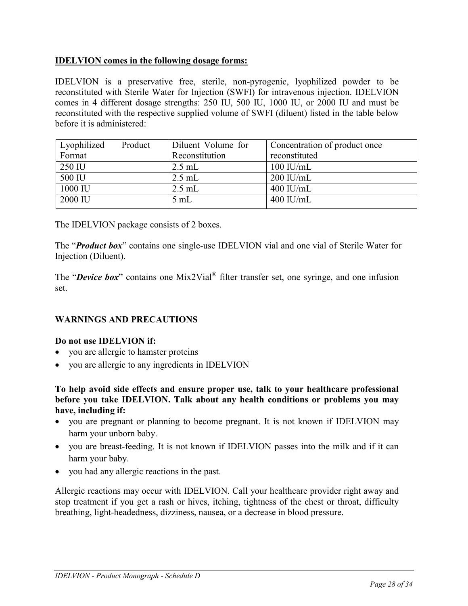# **IDELVION comes in the following dosage forms:**

IDELVION is a preservative free, sterile, non-pyrogenic, lyophilized powder to be reconstituted with Sterile Water for Injection (SWFI) for intravenous injection. IDELVION comes in 4 different dosage strengths: 250 IU, 500 IU, 1000 IU, or 2000 IU and must be reconstituted with the respective supplied volume of SWFI (diluent) listed in the table below before it is administered:

| Lyophilized | Product | Diluent Volume for | Concentration of product once |
|-------------|---------|--------------------|-------------------------------|
| Format      |         | Reconstitution     | reconstituted                 |
| 250 IU      |         | $2.5$ mL           | $100$ IU/mL                   |
| 500 IU      |         | $2.5$ mL           | $200$ IU/mL                   |
| 1000 IU     |         | $2.5$ mL           | $400$ IU/mL                   |
| 2000 IU     |         | 5mL                | $400$ IU/mL                   |

The IDELVION package consists of 2 boxes.

The "*Product box*" contains one single-use IDELVION vial and one vial of Sterile Water for Injection (Diluent).

The "*Device box*" contains one Mix2Vial<sup>®</sup> filter transfer set, one syringe, and one infusion set.

# **WARNINGS AND PRECAUTIONS**

# **Do not use IDELVION if:**

- you are allergic to hamster proteins
- you are allergic to any ingredients in IDELVION

**To help avoid side effects and ensure proper use, talk to your healthcare professional before you take IDELVION. Talk about any health conditions or problems you may have, including if:**

- you are pregnant or planning to become pregnant. It is not known if IDELVION may harm your unborn baby.
- you are breast-feeding. It is not known if IDELVION passes into the milk and if it can harm your baby.
- you had any allergic reactions in the past.

Allergic reactions may occur with IDELVION. Call your healthcare provider right away and stop treatment if you get a rash or hives, itching, tightness of the chest or throat, difficulty breathing, light-headedness, dizziness, nausea, or a decrease in blood pressure.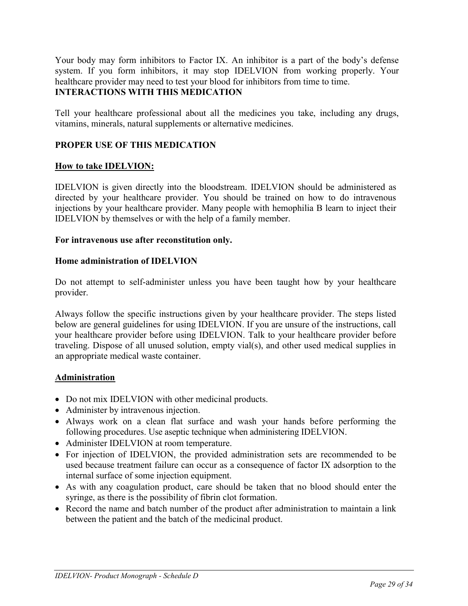Your body may form inhibitors to Factor IX. An inhibitor is a part of the body's defense system. If you form inhibitors, it may stop IDELVION from working properly. Your healthcare provider may need to test your blood for inhibitors from time to time. **INTERACTIONS WITH THIS MEDICATION**

Tell your healthcare professional about all the medicines you take, including any drugs, vitamins, minerals, natural supplements or alternative medicines.

# **PROPER USE OF THIS MEDICATION**

### **How to take IDELVION:**

IDELVION is given directly into the bloodstream. IDELVION should be administered as directed by your healthcare provider. You should be trained on how to do intravenous injections by your healthcare provider. Many people with hemophilia B learn to inject their IDELVION by themselves or with the help of a family member.

#### **For intravenous use after reconstitution only.**

#### **Home administration of IDELVION**

Do not attempt to self-administer unless you have been taught how by your healthcare provider.

Always follow the specific instructions given by your healthcare provider. The steps listed below are general guidelines for using IDELVION. If you are unsure of the instructions, call your healthcare provider before using IDELVION. Talk to your healthcare provider before traveling. Dispose of all unused solution, empty vial(s), and other used medical supplies in an appropriate medical waste container.

# **Administration**

- Do not mix IDELVION with other medicinal products.
- Administer by intravenous injection.
- Always work on a clean flat surface and wash your hands before performing the following procedures. Use aseptic technique when administering IDELVION.
- Administer IDELVION at room temperature.
- For injection of IDELVION, the provided administration sets are recommended to be used because treatment failure can occur as a consequence of factor IX adsorption to the internal surface of some injection equipment.
- As with any coagulation product, care should be taken that no blood should enter the syringe, as there is the possibility of fibrin clot formation.
- Record the name and batch number of the product after administration to maintain a link between the patient and the batch of the medicinal product.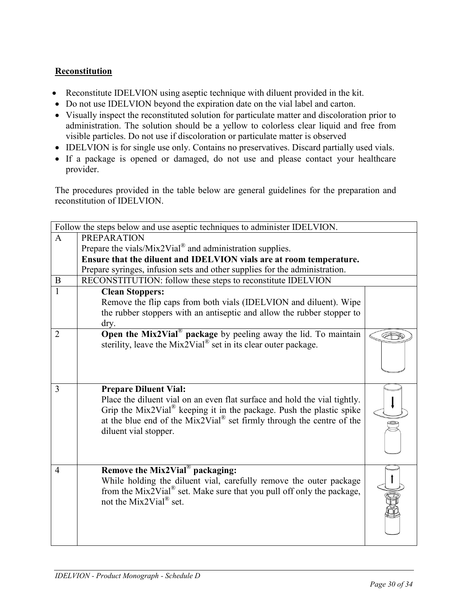# **Reconstitution**

- Reconstitute IDELVION using aseptic technique with diluent provided in the kit.
- Do not use IDELVION beyond the expiration date on the vial label and carton.
- Visually inspect the reconstituted solution for particulate matter and discoloration prior to administration. The solution should be a yellow to colorless clear liquid and free from visible particles. Do not use if discoloration or particulate matter is observed
- IDELVION is for single use only. Contains no preservatives. Discard partially used vials.
- If a package is opened or damaged, do not use and please contact your healthcare provider.

The procedures provided in the table below are general guidelines for the preparation and reconstitution of IDELVION.

|                | Follow the steps below and use aseptic techniques to administer IDELVION.          |  |  |
|----------------|------------------------------------------------------------------------------------|--|--|
| $\mathbf{A}$   | <b>PREPARATION</b>                                                                 |  |  |
|                | Prepare the vials/Mix2Vial <sup>®</sup> and administration supplies.               |  |  |
|                | Ensure that the diluent and IDELVION vials are at room temperature.                |  |  |
|                | Prepare syringes, infusion sets and other supplies for the administration.         |  |  |
| B              | RECONSTITUTION: follow these steps to reconstitute IDELVION                        |  |  |
| 1              | <b>Clean Stoppers:</b>                                                             |  |  |
|                | Remove the flip caps from both vials (IDELVION and diluent). Wipe                  |  |  |
|                | the rubber stoppers with an antiseptic and allow the rubber stopper to             |  |  |
|                | dry.                                                                               |  |  |
| $\overline{2}$ | Open the Mix2Vial <sup>®</sup> package by peeling away the lid. To maintain        |  |  |
|                | sterility, leave the Mix2Vial <sup>®</sup> set in its clear outer package.         |  |  |
|                |                                                                                    |  |  |
|                |                                                                                    |  |  |
|                |                                                                                    |  |  |
| $\overline{3}$ | <b>Prepare Diluent Vial:</b>                                                       |  |  |
|                | Place the diluent vial on an even flat surface and hold the vial tightly.          |  |  |
|                | Grip the Mix2Vial <sup>®</sup> keeping it in the package. Push the plastic spike   |  |  |
|                | at the blue end of the $Mix2Vial^{\circledR}$ set firmly through the centre of the |  |  |
|                | diluent vial stopper.                                                              |  |  |
|                |                                                                                    |  |  |
|                |                                                                                    |  |  |
| 4              | Remove the Mix2Vial <sup>®</sup> packaging:                                        |  |  |
|                | While holding the diluent vial, carefully remove the outer package                 |  |  |
|                | from the Mix2Vial <sup>®</sup> set. Make sure that you pull off only the package,  |  |  |
|                | not the Mix2Vial <sup>®</sup> set.                                                 |  |  |
|                |                                                                                    |  |  |
|                |                                                                                    |  |  |
|                |                                                                                    |  |  |
|                |                                                                                    |  |  |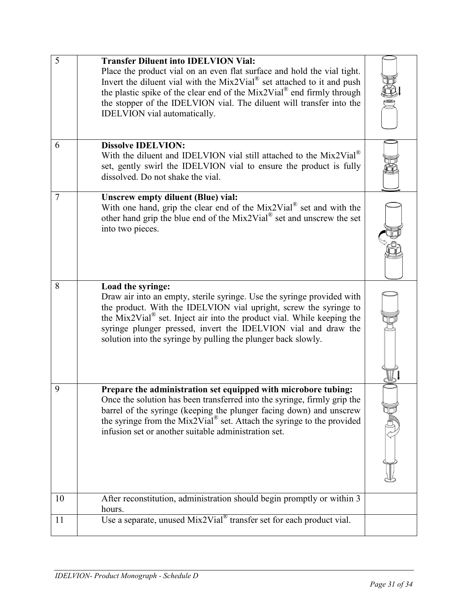| 5  | <b>Transfer Diluent into IDELVION Vial:</b><br>Place the product vial on an even flat surface and hold the vial tight.<br>Invert the diluent vial with the $Mix2Vial®$ set attached to it and push<br>the plastic spike of the clear end of the Mix2Vial® end firmly through<br>the stopper of the IDELVION vial. The diluent will transfer into the<br>IDELVION vial automatically.      |  |
|----|-------------------------------------------------------------------------------------------------------------------------------------------------------------------------------------------------------------------------------------------------------------------------------------------------------------------------------------------------------------------------------------------|--|
| 6  | <b>Dissolve IDELVION:</b>                                                                                                                                                                                                                                                                                                                                                                 |  |
|    | With the diluent and IDELVION vial still attached to the $Mix2Vial®$<br>set, gently swirl the IDELVION vial to ensure the product is fully<br>dissolved. Do not shake the vial.                                                                                                                                                                                                           |  |
| 7  | <b>Unscrew empty diluent (Blue) vial:</b><br>With one hand, grip the clear end of the $Mix2Vial^{\circledast}$ set and with the<br>other hand grip the blue end of the Mix2Vial® set and unscrew the set<br>into two pieces.                                                                                                                                                              |  |
| 8  | Load the syringe:<br>Draw air into an empty, sterile syringe. Use the syringe provided with<br>the product. With the IDELVION vial upright, screw the syringe to<br>the Mix2Vial <sup>®</sup> set. Inject air into the product vial. While keeping the<br>syringe plunger pressed, invert the IDELVION vial and draw the<br>solution into the syringe by pulling the plunger back slowly. |  |
| 9  | Prepare the administration set equipped with microbore tubing:<br>Once the solution has been transferred into the syringe, firmly grip the<br>barrel of the syringe (keeping the plunger facing down) and unscrew<br>the syringe from the Mix2Vial® set. Attach the syringe to the provided<br>infusion set or another suitable administration set.                                       |  |
| 10 | After reconstitution, administration should begin promptly or within 3<br>hours.                                                                                                                                                                                                                                                                                                          |  |
| 11 | Use a separate, unused $Mix2Vial^{\circledast}$ transfer set for each product vial.                                                                                                                                                                                                                                                                                                       |  |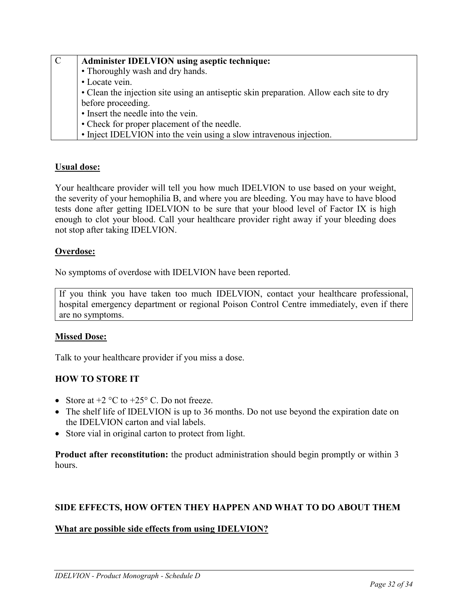| $\mathbf C$ | <b>Administer IDELVION using aseptic technique:</b>                                     |
|-------------|-----------------------------------------------------------------------------------------|
|             | • Thoroughly wash and dry hands.                                                        |
|             | • Locate vein.                                                                          |
|             | • Clean the injection site using an antiseptic skin preparation. Allow each site to dry |
|             | before proceeding.                                                                      |
|             | • Insert the needle into the vein.                                                      |
|             | • Check for proper placement of the needle.                                             |
|             | • Inject IDELVION into the vein using a slow intravenous injection.                     |

# **Usual dose:**

Your healthcare provider will tell you how much IDELVION to use based on your weight, the severity of your hemophilia B, and where you are bleeding. You may have to have blood tests done after getting IDELVION to be sure that your blood level of Factor IX is high enough to clot your blood. Call your healthcare provider right away if your bleeding does not stop after taking IDELVION.

### **Overdose:**

No symptoms of overdose with IDELVION have been reported.

If you think you have taken too much IDELVION, contact your healthcare professional, hospital emergency department or regional Poison Control Centre immediately, even if there are no symptoms.

# **Missed Dose:**

Talk to your healthcare provider if you miss a dose.

# **HOW TO STORE IT**

- Store at  $+2$  °C to  $+25$ °C. Do not freeze.
- The shelf life of IDELVION is up to 36 months. Do not use beyond the expiration date on the IDELVION carton and vial labels.
- Store vial in original carton to protect from light.

**Product after reconstitution:** the product administration should begin promptly or within 3 hours.

# **SIDE EFFECTS, HOW OFTEN THEY HAPPEN AND WHAT TO DO ABOUT THEM**

# **What are possible side effects from using IDELVION?**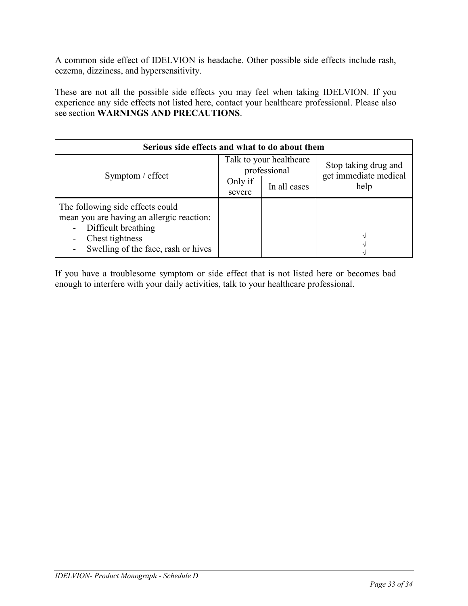A common side effect of IDELVION is headache. Other possible side effects include rash, eczema, dizziness, and hypersensitivity.

These are not all the possible side effects you may feel when taking IDELVION. If you experience any side effects not listed here, contact your healthcare professional. Please also see section **WARNINGS AND PRECAUTIONS**.

| Serious side effects and what to do about them                                                                                                                 |                                         |              |                               |  |  |  |
|----------------------------------------------------------------------------------------------------------------------------------------------------------------|-----------------------------------------|--------------|-------------------------------|--|--|--|
|                                                                                                                                                                | Talk to your healthcare<br>professional |              | Stop taking drug and          |  |  |  |
| Symptom / effect                                                                                                                                               | Only if<br>severe                       | In all cases | get immediate medical<br>help |  |  |  |
| The following side effects could<br>mean you are having an allergic reaction:<br>Difficult breathing<br>Chest tightness<br>Swelling of the face, rash or hives |                                         |              |                               |  |  |  |

If you have a troublesome symptom or side effect that is not listed here or becomes bad enough to interfere with your daily activities, talk to your healthcare professional.